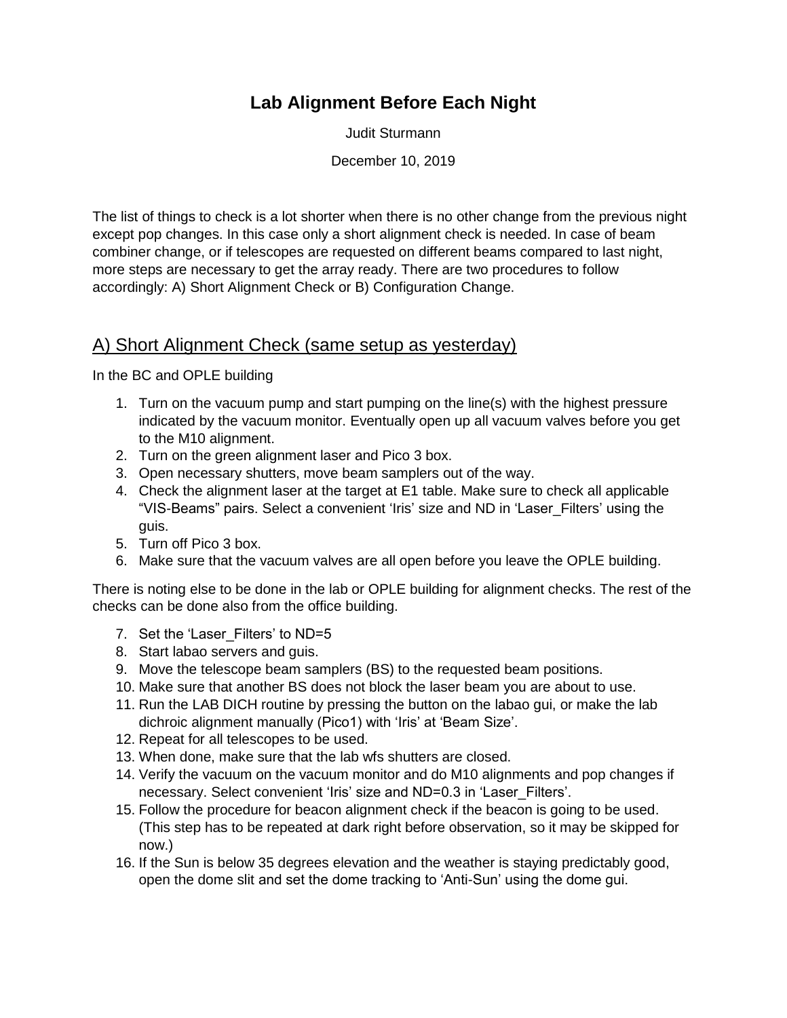## **Lab Alignment Before Each Night**

Judit Sturmann

December 10, 2019

The list of things to check is a lot shorter when there is no other change from the previous night except pop changes. In this case only a short alignment check is needed. In case of beam combiner change, or if telescopes are requested on different beams compared to last night, more steps are necessary to get the array ready. There are two procedures to follow accordingly: A) Short Alignment Check or B) Configuration Change.

## A) Short Alignment Check (same setup as yesterday)

In the BC and OPLE building

- 1. Turn on the vacuum pump and start pumping on the line(s) with the highest pressure indicated by the vacuum monitor. Eventually open up all vacuum valves before you get to the M10 alignment.
- 2. Turn on the green alignment laser and Pico 3 box.
- 3. Open necessary shutters, move beam samplers out of the way.
- 4. Check the alignment laser at the target at E1 table. Make sure to check all applicable "VIS-Beams" pairs. Select a convenient 'Iris' size and ND in 'Laser\_Filters' using the guis.
- 5. Turn off Pico 3 box.
- 6. Make sure that the vacuum valves are all open before you leave the OPLE building.

There is noting else to be done in the lab or OPLE building for alignment checks. The rest of the checks can be done also from the office building.

- 7. Set the 'Laser Filters' to ND=5
- 8. Start labao servers and guis.
- 9. Move the telescope beam samplers (BS) to the requested beam positions.
- 10. Make sure that another BS does not block the laser beam you are about to use.
- 11. Run the LAB DICH routine by pressing the button on the labao gui, or make the lab dichroic alignment manually (Pico1) with 'Iris' at 'Beam Size'.
- 12. Repeat for all telescopes to be used.
- 13. When done, make sure that the lab wfs shutters are closed.
- 14. Verify the vacuum on the vacuum monitor and do M10 alignments and pop changes if necessary. Select convenient 'Iris' size and ND=0.3 in 'Laser\_Filters'.
- 15. Follow the procedure for beacon alignment check if the beacon is going to be used. (This step has to be repeated at dark right before observation, so it may be skipped for now.)
- 16. If the Sun is below 35 degrees elevation and the weather is staying predictably good, open the dome slit and set the dome tracking to 'Anti-Sun' using the dome gui.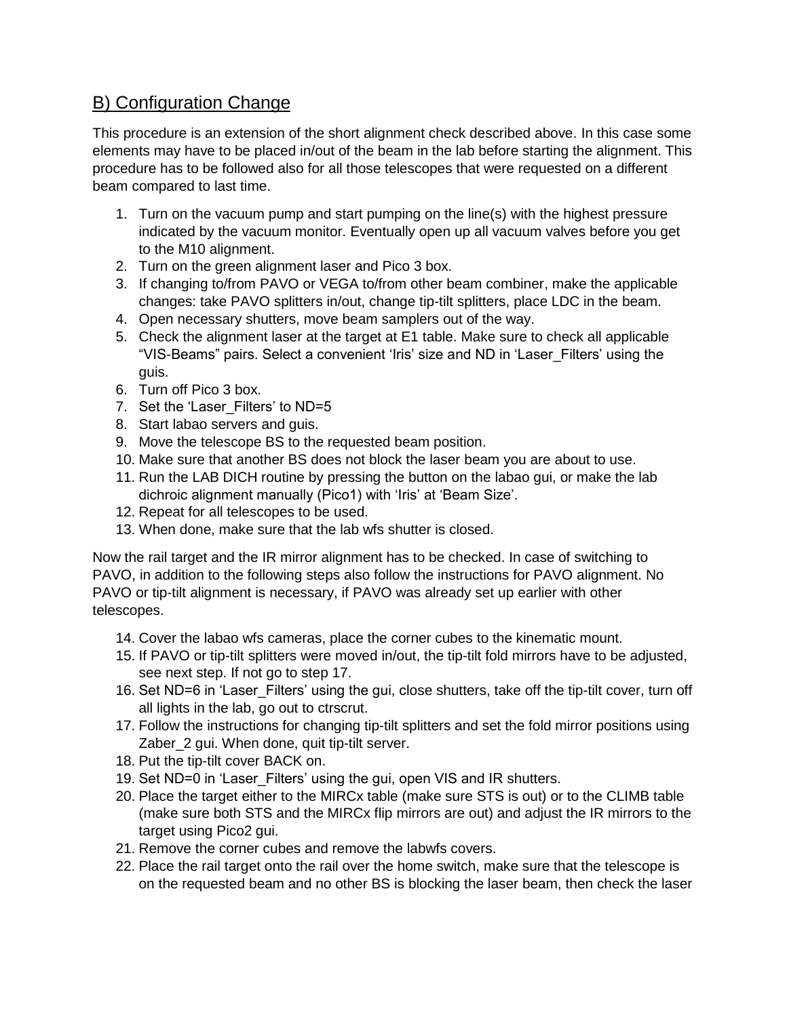## B) Configuration Change

This procedure is an extension of the short alignment check described above. In this case some elements may have to be placed in/out of the beam in the lab before starting the alignment. This procedure has to be followed also for all those telescopes that were requested on a different beam compared to last time.

- 1. Turn on the vacuum pump and start pumping on the line(s) with the highest pressure indicated by the vacuum monitor. Eventually open up all vacuum valves before you get to the M10 alignment.
- 2. Turn on the green alignment laser and Pico 3 box.
- 3. If changing to/from PAVO or VEGA to/from other beam combiner, make the applicable changes: take PAVO splitters in/out, change tip-tilt splitters, place LDC in the beam.
- 4. Open necessary shutters, move beam samplers out of the way.
- 5. Check the alignment laser at the target at E1 table. Make sure to check all applicable "VIS-Beams" pairs. Select a convenient 'Iris' size and ND in 'Laser\_Filters' using the guis.
- 6. Turn off Pico 3 box.
- 7. Set the 'Laser Filters' to ND=5
- 8. Start labao servers and guis.
- 9. Move the telescope BS to the requested beam position.
- 10. Make sure that another BS does not block the laser beam you are about to use.
- 11. Run the LAB DICH routine by pressing the button on the labao gui, or make the lab dichroic alignment manually (Pico1) with 'Iris' at 'Beam Size'.
- 12. Repeat for all telescopes to be used.
- 13. When done, make sure that the lab wfs shutter is closed.

Now the rail target and the IR mirror alignment has to be checked. In case of switching to PAVO, in addition to the following steps also follow the instructions for PAVO alignment. No PAVO or tip-tilt alignment is necessary, if PAVO was already set up earlier with other telescopes.

- 14. Cover the labao wfs cameras, place the corner cubes to the kinematic mount.
- 15. If PAVO or tip-tilt splitters were moved in/out, the tip-tilt fold mirrors have to be adjusted, see next step. If not go to step 17.
- 16. Set ND=6 in 'Laser\_Filters' using the gui, close shutters, take off the tip-tilt cover, turn off all lights in the lab, go out to ctrscrut.
- 17. Follow the instructions for changing tip-tilt splitters and set the fold mirror positions using Zaber 2 gui. When done, quit tip-tilt server.
- 18. Put the tip-tilt cover BACK on.
- 19. Set ND=0 in 'Laser\_Filters' using the gui, open VIS and IR shutters.
- 20. Place the target either to the MIRCx table (make sure STS is out) or to the CLIMB table (make sure both STS and the MIRCx flip mirrors are out) and adjust the IR mirrors to the target using Pico2 gui.
- 21. Remove the corner cubes and remove the labwfs covers.
- 22. Place the rail target onto the rail over the home switch, make sure that the telescope is on the requested beam and no other BS is blocking the laser beam, then check the laser